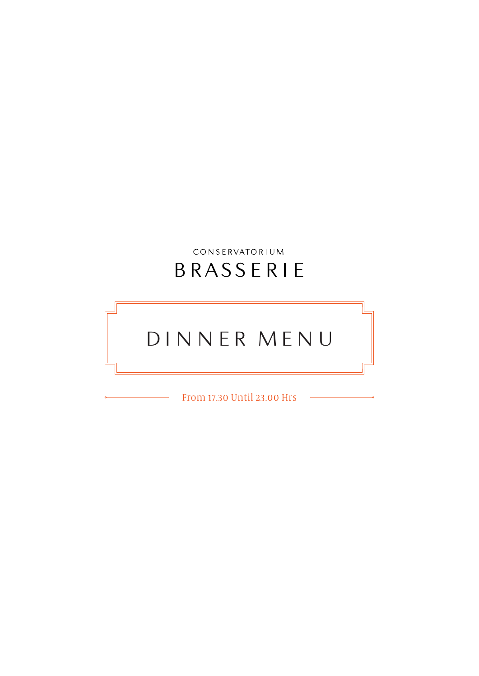# CONSERVATORIUM BRASSERIE

# DINNER MENU

From 17.30 Until 23.00 Hrs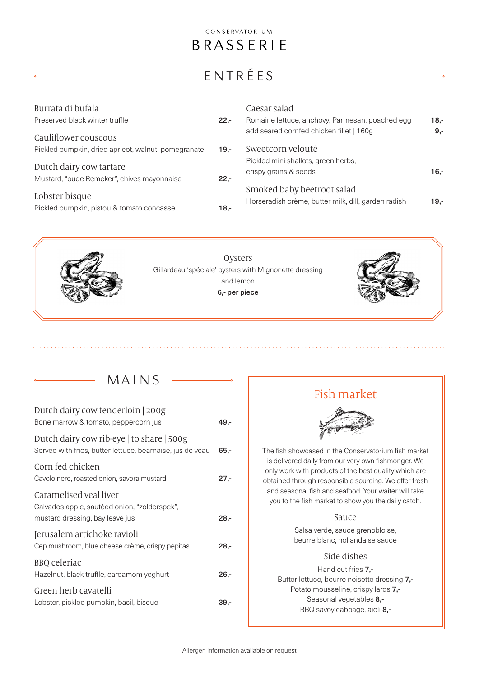# ENTRÉES

| Burrata di bufala<br>Preserved black winter truffle                   | $22 -$ | Caesar salad<br>Romaine lettuce, anchovy, Parmesan, poached egg                   | $18 -$ |
|-----------------------------------------------------------------------|--------|-----------------------------------------------------------------------------------|--------|
| Cauliflower couscous                                                  |        | add seared cornfed chicken fillet   160g                                          | $9,-$  |
| Pickled pumpkin, dried apricot, walnut, pomegranate                   | $19 -$ | Sweetcorn velouté                                                                 |        |
| Dutch dairy cow tartare<br>Mustard, "oude Remeker", chives mayonnaise | $22,-$ | Pickled mini shallots, green herbs,<br>crispy grains & seeds                      | $16 -$ |
| Lobster bisque<br>Pickled pumpkin, pistou & tomato concasse           | $18 -$ | Smoked baby beetroot salad<br>Horseradish crème, butter milk, dill, garden radish | $19 -$ |



MAINS

| Dutch dairy cow tenderloin 200g<br>Bone marrow & tomato, peppercorn jus                                   | 49,-   |
|-----------------------------------------------------------------------------------------------------------|--------|
| Dutch dairy cow rib-eye   to share   500g<br>Served with fries, butter lettuce, bearnaise, jus de veau    | $65 -$ |
| Corn fed chicken<br>Cavolo nero, roasted onion, savora mustard                                            | $27 -$ |
| Caramelised veal liver<br>Calvados apple, sautéed onion, "zolderspek",<br>mustard dressing, bay leave jus | 28,-   |
| Jerusalem artichoke ravioli<br>Cep mushroom, blue cheese crème, crispy pepitas                            | 28,-   |
| <b>BBQ</b> celeriac<br>Hazelnut, black truffle, cardamom yoghurt                                          | $26 -$ |
| Green herb cavatelli<br>Lobster, pickled pumpkin, basil, bisque                                           | 39.-   |
|                                                                                                           |        |

## Fish market



The fish showcased in the Conservatorium fish market is delivered daily from our very own fishmonger. We only work with products of the best quality which are obtained through responsible sourcing. We offer fresh and seasonal fish and seafood. Your waiter will take you to the fish market to show you the daily catch.

#### Sauce

Salsa verde, sauce grenobloise, beurre blanc, hollandaise sauce

#### Side dishes

Hand cut fries **7,-**Butter lettuce, beurre noisette dressing 7,- Potato mousseline, crispy lards 7,- Seasonal vegetables 8,- BBQ savoy cabbage, aioli 8,-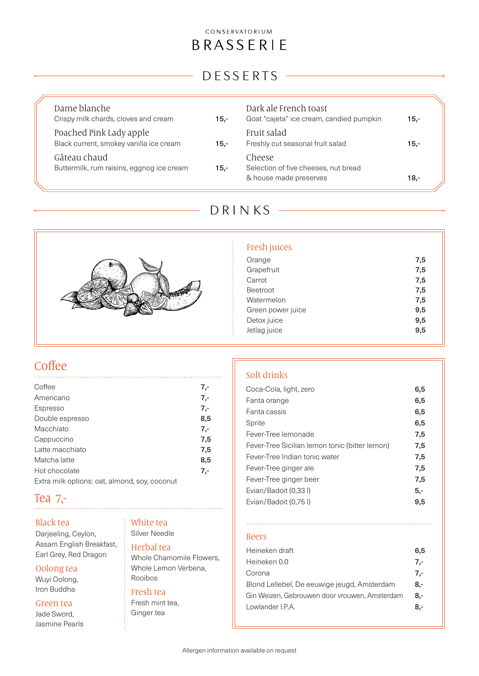### CONSERVATORIUM

# BRASSERIE

# DESSERTS

| Dame blanche<br>Crispy milk chards, cloves and cream               | $15 -$ | Dark ale French toast<br>Goat "cajeta" ice cream, candied pumpkin        | $15 -$ |
|--------------------------------------------------------------------|--------|--------------------------------------------------------------------------|--------|
| Poached Pink Lady apple<br>Black current, smokey vanilla ice cream | 15,-   | Fruit salad<br>Freshly cut seasonal fruit salad                          | $15 -$ |
| Gâteau chaud<br>Buttermilk, rum raisins, eggnog ice cream          | $15 -$ | Cheese<br>Selection of five cheeses, nut bread<br>& house made preserves | $18 -$ |

# DRINKS



#### Fresh juices

| Orange            | 7,5 |
|-------------------|-----|
| Grapefruit        | 7,5 |
| Carrot            | 7,5 |
| <b>Beetroot</b>   | 7,5 |
| Watermelon        | 7,5 |
| Green power juice | 9,5 |
| Detox juice       | 9,5 |
| Jetlag juice      | 9,5 |
|                   |     |

### Coffee

| Coffee                                        | $7 -$ |
|-----------------------------------------------|-------|
| Americano                                     | $7 -$ |
| Espresso                                      | $7 -$ |
| Double espresso                               | 8,5   |
| Macchiato                                     | $7 -$ |
| Cappuccino                                    | 7,5   |
| Latte macchiato                               | 7,5   |
| Matcha latte                                  | 8,5   |
| Hot chocolate                                 | $7 -$ |
| Extra milk options: oat, almond, soy, coconut |       |

### Tea 7,-

#### Black tea

Darjeeling, Ceylon, Assam English Breakfast, Earl Grey, Red Dragon

#### Oolong tea

Wuyi Oolong, Iron Buddha

#### Green tea

Jade Sword, Jasmine Pearls

#### White tea Silver Needle

#### Herbal tea

Whole Chamomile Flowers, Whole Lemon Verbena, Rooibos

### Fresh tea

Fresh mint tea, Ginger tea

### Soft drinks

| Coca-Cola, light, zero                         | 6,5   |
|------------------------------------------------|-------|
| Fanta orange                                   | 6,5   |
| Fanta cassis                                   | 6,5   |
| Sprite                                         | 6,5   |
| Fever-Tree lemonade                            | 7,5   |
| Fever-Tree Sicilian lemon tonic (bitter lemon) | 7,5   |
| Fever-Tree Indian tonic water                  | 7,5   |
| Fever-Tree ginger ale                          | 7,5   |
| Fever-Tree ginger beer                         | 7,5   |
| Evian/Badoit (0.33)                            | $5 -$ |
| Evian/Badoit (0.75 l)                          | 9,5   |
|                                                |       |

### Beers

. . . . . . . . . . . . . . . . . . .

| Heineken draft                                | 6.5 |
|-----------------------------------------------|-----|
| Heineken 0.0                                  | 7.- |
| Corona                                        | 7.- |
| Blond Lellebel, De eeuwige jeugd, Amsterdam   | 8.- |
| Gin Weizen, Gebrouwen door vrouwen, Amsterdam | 8.- |
| Lowlander I.P.A.                              | 8.- |